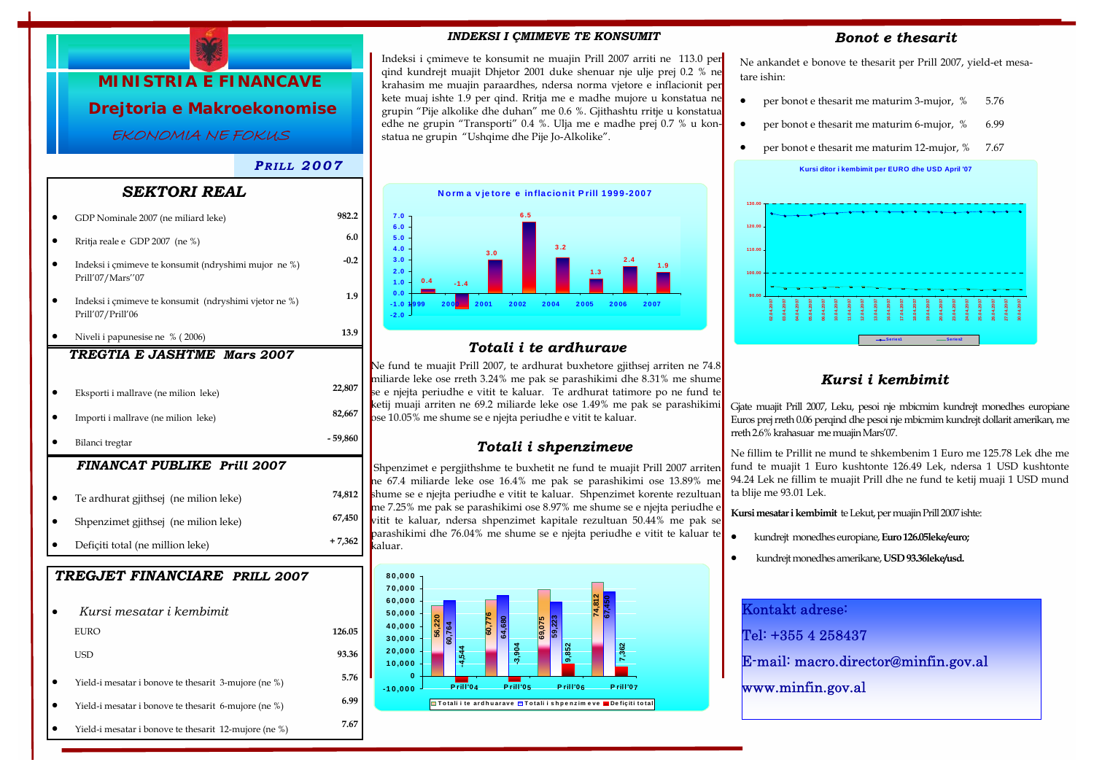

# *P RILL 2007*

## *SEKTORI REAL*

|                                    | GDP Nominale 2007 (ne miliard leke)                                        | 982.2     |  |  |
|------------------------------------|----------------------------------------------------------------------------|-----------|--|--|
|                                    | Rritja reale e GDP 2007 (ne %)                                             | 6.0       |  |  |
|                                    | Indeksi i çmimeve te konsumit (ndryshimi mujor ne %)<br>Prill'07/Mars"07   | $-0.2$    |  |  |
|                                    | Indeksi i çmimeve te konsumit (ndryshimi vjetor ne %)<br>Prill'07/Prill'06 | 1.9       |  |  |
|                                    | Niveli i papunesise ne % (2006)                                            | 13.9      |  |  |
|                                    | TREGTIA E JASHTME<br><b>Mars 2007</b>                                      |           |  |  |
|                                    |                                                                            |           |  |  |
|                                    | Eksporti i mallrave (ne milion leke)                                       | 22,807    |  |  |
|                                    | Importi i mallrave (ne milion leke)                                        | 82,667    |  |  |
|                                    | Bilanci tregtar                                                            | $-59,860$ |  |  |
| <b>FINANCAT PUBLIKE Prill 2007</b> |                                                                            |           |  |  |
|                                    | Te ardhurat gjithsej (ne milion leke)                                      | 74,812    |  |  |
|                                    | Shpenzimet gjithsej (ne milion leke)                                       | 67,450    |  |  |
|                                    | Deficiti total (ne million leke)                                           | $+7,362$  |  |  |
|                                    |                                                                            |           |  |  |
|                                    | TREGJET FINANCIARE PRILL 2007                                              |           |  |  |
|                                    | Kursi mesatar i kembimit                                                   |           |  |  |
|                                    | <b>EURO</b>                                                                | 126.05    |  |  |
|                                    | USD                                                                        | 93.36     |  |  |
|                                    | Yield-i mesatar i bonove te thesarit 3-mujore (ne %)                       | 5.76      |  |  |
|                                    | Yield-i mesatar i bonove te thesarit 6-mujore (ne %)                       | 6.99      |  |  |

• Yield-i mesatar i bonove te thesarit 12-mujore (ne %) **7.67** 

### *INDEKSI I ÇMIMEVE TE KONSUMIT*

Indeksi i çmimeve te konsumit ne muajin Prill 2007 arriti ne 113.0 per qind kundrejt muajit Dhjetor 2001 duke shenuar nje ulje prej 0.2 % ne krahasim me muajin paraardhes, ndersa norma vjetore e inflacionit per kete muaj ishte 1.9 per qind. Rritja me e madhe mujore u konstatua ne grupin "Pije alkolike dhe duhan" me 0.6 %. Gjithashtu rritje u konstatua edhe ne grupin "Transporti" 0.4 %. Ulja me e madhe prej 0.7 % u konstatua ne grupin "Ushqime dhe Pije Jo-Alkolike".



# *Totali i te ardhurave*

Ne fund te muajit Prill 2007, te ardhurat buxhetore gjithsej arriten ne 74.8 miliarde leke ose rreth 3.24% me pak se parashikimi dhe 8.31% me shume se e njejta periudhe e vitit te kaluar. Te ardhurat tatimore po ne fund te ketij muaji arriten ne 69.2 miliarde leke ose 1.49% me pak se parashikimi ose 10.05% me shume se e njejta periudhe e vitit te kaluar.

## *Totali i shpenzimeve*

Shpenzimet e pergjithshme te buxhetit ne fund te muajit Prill 2007 arriten ne 67.4 miliarde leke ose 16.4% me pak se parashikimi ose 13.89% me shume se e njejta periudhe e vitit te kaluar. Shpenzimet korente rezultuan me 7.25% me pak se parashikimi ose 8.97% me shume se e njejta periudhe e vitit te kaluar, ndersa shpenzimet kapitale rezultuan 50.44% me pak se parashikimi dhe 76.04% me shume se e njejta periudhe e vitit te kaluar te kaluar.



### *Bonot e thesarit*

Ne ankandet e bonove te thesarit per Prill 2007, yield-et mesatare ishin:

- per bonot e thesarit me maturim 3-mujor,  $%$  5.76
- per bonot e thesarit me maturim 6-mujor, % 6.99
- per bonot e thesarit me maturim 12-mujor, % 7.67





# *Kursi i kembimit*

Gjate muajit Prill 2007, Leku, pesoi nje mbicmim kundrejt monedhes europiane Euros prej rreth 0.06 perqind dhe pesoi nje mbicmim kundrejt dollarit amerikan, me rreth 2.6% krahasuar me muajin Mars'07.

Ne fillim te Prillit ne mund te shkembenim 1 Euro me 125.78 Lek dhe me fund te muajit 1 Euro kushtonte 126.49 Lek, ndersa 1 USD kushtonte 94.24 Lek ne fillim te muajit Prill dhe ne fund te ketij muaji 1 USD mund ta blije me 93.01 Lek.

**Kursi mesatar i kembimit** te Lekut, per muajin Prill 2007 ishte:

- kundrejt monedhes europiane, **Euro 126.05leke/euro;**
- kundrejt monedhes amerikane, **USD 93.36leke/usd.**

| Kontakt adrese:                      |
|--------------------------------------|
| Tel: +355 4 258437                   |
| E-mail: macro.director@minfin.gov.al |
| www.minfin.gov.al                    |